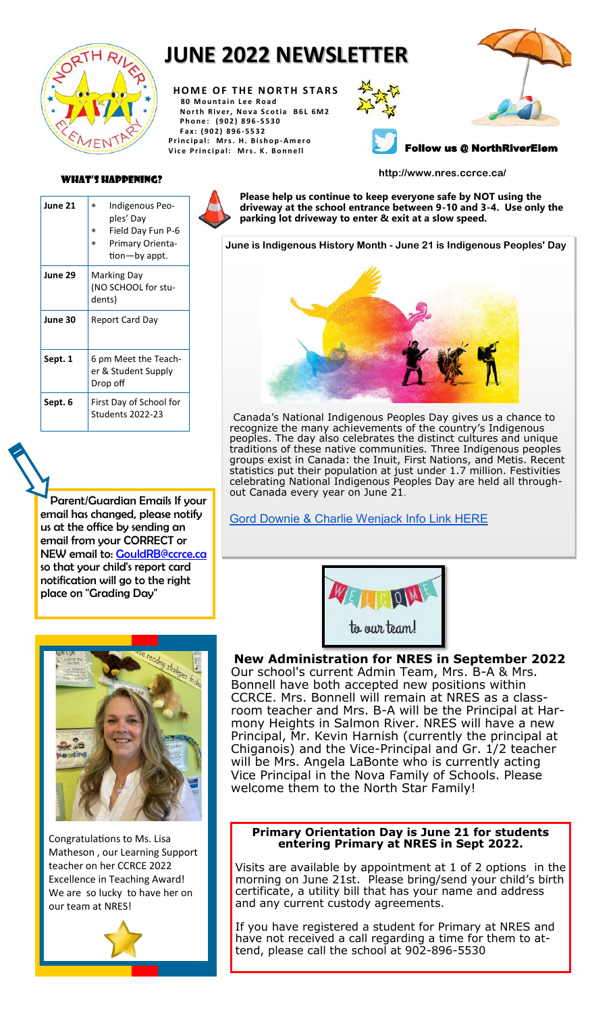

## **JUNE 2022 NEWSLETTER**

**HOME OF THE NORTH STARS 8 0 M o u n t a i n L e e R o a d North River, Nova Scotia B6L 6M2 P h o n e : ( 9 0 2 ) 8 9 6 - 5530 F a x : ( 9 0 2 ) 8 9 6 - 5532 P r i n c i p a l : M r s . H . B is h o p -A m e r o** Vice Principal: Mrs. K. Bonnell







What's Happening? **http://www.nres.ccrce.ca/**

| June 21 | Indigenous Peo-<br>$\ast$<br>ples' Day<br>Field Day Fun P-6<br>$\ast$<br><b>Primary Orienta-</b><br>$\ast$<br>tion-by appt. |  |  |  |
|---------|-----------------------------------------------------------------------------------------------------------------------------|--|--|--|
| June 29 | Marking Day<br>(NO SCHOOL for stu-<br>dents)                                                                                |  |  |  |
| June 30 | Report Card Day                                                                                                             |  |  |  |
| Sept. 1 | 6 pm Meet the Teach-<br>er & Student Supply<br>Drop off                                                                     |  |  |  |
| Sept. 6 | First Day of School for<br><b>Students 2022-23</b>                                                                          |  |  |  |

Parent/Guardian Emails If your email has changed, please notify us at the office by sending an email from your CORRECT or NEW email to: [GouldRB@ccrce.ca](mailto:GouldRB@ccrce.ca) so that your child's report card notification will go to the right place on "Grading Day"



**June is Indigenous History Month - June 21 is Indigenous Peoples' Day** 



Canada's National Indigenous Peoples Day gives us a chance to recognize the many achievements of the country's Indigenous peoples. The day also celebrates the distinct cultures and unique traditions of these native communities. Three Indigenous peoples groups exist in Canada: the Inuit, First Nations, and Metis. Recent statistics put their population at just under 1.7 million. Festivities celebrating National Indigenous Peoples Day are held all throughout Canada every year on June 21.

[Gord Downie & Charlie Wenjack Info Link HERE](https://sna.etapestry.com/prod/viewEmailAsPage.do?erRef=12591.0.217394555&databaseId=TheGordDownieChanieWenjackFun_2&mailingId=41366760&jobRef=12591.0.307125336&key=a9c154c4658d7fc48fd2be3ef34d919&personaRef=12591.0.217394615&memberId=1575972109)





Congratulations to Ms. Lisa Matheson , our Learning Support teacher on her CCRCE 2022 Excellence in Teaching Award! We are so lucky to have her on our team at NRES!



**New Administration for NRES in September 2022**  Our school's current Admin Team, Mrs. B-A & Mrs.

Bonnell have both accepted new positions within CCRCE. Mrs. Bonnell will remain at NRES as a classroom teacher and Mrs. B-A will be the Principal at Harmony Heights in Salmon River. NRES will have a new Principal, Mr. Kevin Harnish (currently the principal at Chiganois) and the Vice-Principal and Gr. 1/2 teacher will be Mrs. Angela LaBonte who is currently acting Vice Principal in the Nova Family of Schools. Please welcome them to the North Star Family!

#### **Primary Orientation Day is June 21 for students entering Primary at NRES in Sept 2022.**

Visits are available by appointment at 1 of 2 options in the morning on June 21st. Please bring/send your child's birth certificate, a utility bill that has your name and address and any current custody agreements.

If you have registered a student for Primary at NRES and have not received a call regarding a time for them to attend, please call the school at 902-896-5530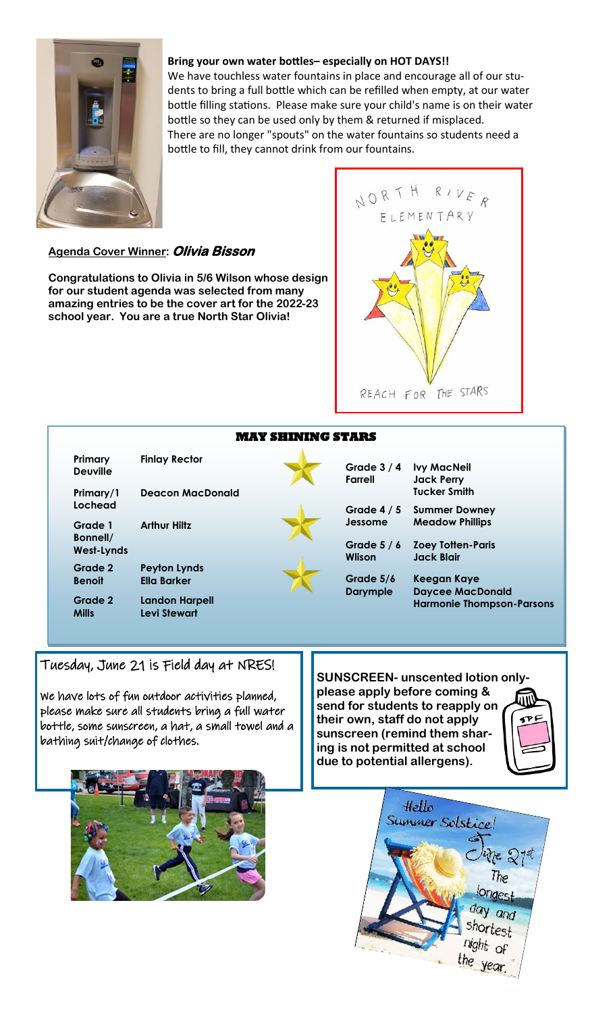

#### **Bring your own water bottles– especially on HOT DAYS!!**

We have touchless water fountains in place and encourage all of our students to bring a full bottle which can be refilled when empty, at our water bottle filling stations. Please make sure your child's name is on their water bottle so they can be used only by them & returned if misplaced. There are no longer "spouts" on the water fountains so students need a bottle to fill, they cannot drink from our fountains.

#### **Agenda Cover Winner: Olivia Bisson**

**Congratulations to Olivia in 5/6 Wilson whose design for our student agenda was selected from many amazing entries to be the cover art for the 2022-23 school year. You are a true North Star Olivia!** 



| <b>MAY SHINING STARS</b>   |                                              |  |                               |                                               |  |
|----------------------------|----------------------------------------------|--|-------------------------------|-----------------------------------------------|--|
| Primary<br><b>Deuville</b> | <b>Finlay Rector</b>                         |  | Grade $3/4$<br><b>Farrell</b> | <b>Ivy MacNeil</b><br><b>Jack Perry</b>       |  |
| Primary/1<br>Lochead       | <b>Deacon MacDonald</b>                      |  | Grade $4/5$                   | <b>Tucker Smith</b><br><b>Summer Downey</b>   |  |
| Grade 1<br>Bonnell/        | <b>Arthur Hiltz</b>                          |  | Jessome                       | <b>Meadow Phillips</b>                        |  |
| <b>West-Lynds</b>          |                                              |  | Grade $5/6$<br><b>Wlison</b>  | <b>Zoey Totten-Paris</b><br><b>Jack Blair</b> |  |
| Grade 2                    | <b>Peyton Lynds</b>                          |  |                               |                                               |  |
| <b>Benoit</b>              | <b>Ella Barker</b>                           |  | Grade 5/6<br><b>Darymple</b>  | Keegan Kaye<br><b>Daycee MacDonald</b>        |  |
| Grade 2<br><b>Mills</b>    | <b>Landon Harpell</b><br><b>Levi Stewart</b> |  |                               | <b>Harmonie Thompson-Parsons</b>              |  |
|                            |                                              |  |                               |                                               |  |

### Tuesday, June 21 is Field day at NRES!

We have lots of fun outdoor activities planned, please make sure all students bring a full water bottle, some sunscreen, a hat, a small towel and a bathing suit/change of clothes.

**SUNSCREEN- unscented lotion onlyplease apply before coming & send for students to reapply on their own, staff do not apply sunscreen (remind them sharing is not permitted at school due to potential allergens).**